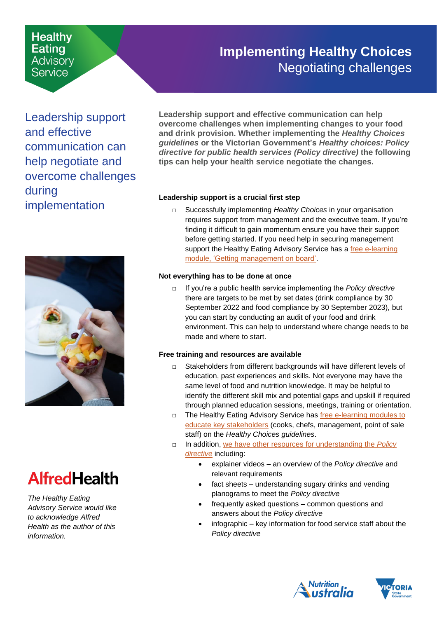### **Healthy Eating Advisory** Service

## <span id="page-0-0"></span>**Implementing Healthy Choices** Negotiating challenges

Leadership support and effective communication can help negotiate and overcome challenges during implementation

**Leadership support and effective communication can help overcome challenges when implementing changes to your food and drink provision. Whether implementing the** *Healthy Choices guidelines* **or the Victorian Government's** *Healthy choices: Policy directive for public health services (Policy directive)* **the following tips can help your health service negotiate the changes.**

#### **Leadership support is a crucial first step**

□ Successfully implementing *Healthy Choices* in your organisation requires support from management and the executive team. If you're finding it difficult to gain momentum ensure you have their support before getting started. If you need help in securing management support the Healthy Eating Advisory Service has a free e-learning [module, 'Getting management on board'.](https://heas.health.vic.gov.au/training/healthy-choices)

#### **Not everything has to be done at once**

□ If you're a public health service implementing the *Policy directive* there are targets to be met by set dates (drink compliance by 30 September 2022 and food compliance by 30 September 2023), but you can start by conducting an audit of your food and drink environment. This can help to understand where change needs to be made and where to start.

#### **Free training and resources are available**

- □ Stakeholders from different backgrounds will have different levels of education, past experiences and skills. Not everyone may have the same level of food and nutrition knowledge. It may be helpful to identify the different skill mix and potential gaps and upskill if required through planned education sessions, meetings, training or orientation.
- □ The Healthy Eating Advisory Service has free e-learning modules to [educate key stakeholders](https://heas.health.vic.gov.au/training/healthy-choices) (cooks, chefs, management, point of sale staff) on the *Healthy Choices guidelines*.
- □ In addition, [we have other resources](https://heas.health.vic.gov.au/healthy-choices-policy-directive-victorian-public-health-services) for understanding the *Policy [directive](https://heas.health.vic.gov.au/healthy-choices-policy-directive-victorian-public-health-services)* including:
	- explainer videos an overview of the *Policy directive* and relevant requirements
	- fact sheets understanding sugary drinks and vending planograms to meet the *Policy directive*
	- frequently asked questions common questions and answers about the *Policy directive*
	- infographic key information for food service staff about the *Policy directive*







# **AlfredHealth**

*The Healthy Eating Advisory Service would like to acknowledge Alfred Health as the author of this information.*